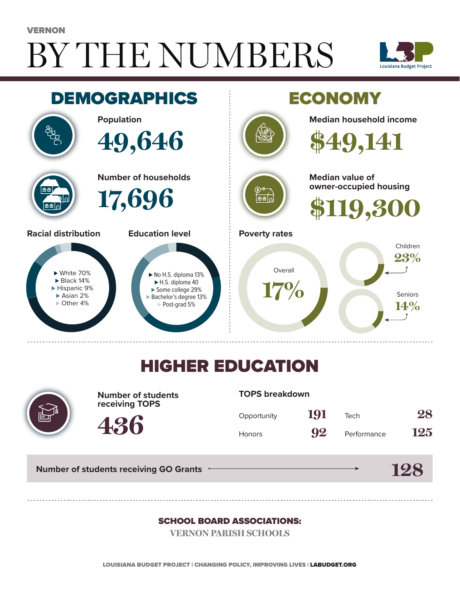# BY THE NUMBERS VERNON





## HIGHER EDUCATION



**Number of students receiving TOPS**

#### **TOPS breakdown**

| Opportunity   | 191 | Tech        | 28  |
|---------------|-----|-------------|-----|
| <b>Honors</b> | 92  | Performance | 125 |

**Number of students receiving GO Grants**

**436**

#### **128**

#### SCHOOL BOARD ASSOCIATIONS:

**VERNON PARISH SCHOOLS**